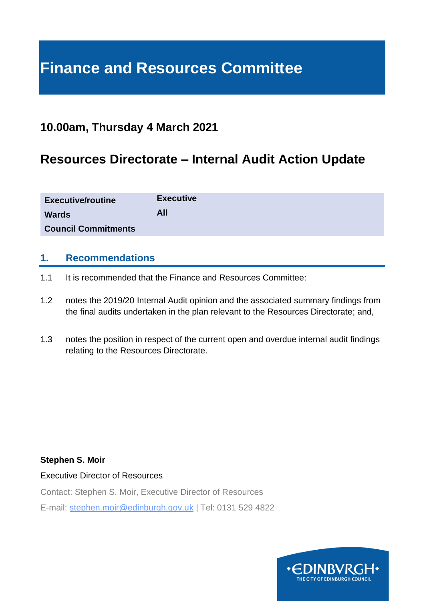# **Finance and Resources Committee**

# **10.00am, Thursday 4 March 2021**

# **Resources Directorate – Internal Audit Action Update**

| <b>Executive/routine</b>   | <b>Executive</b> |
|----------------------------|------------------|
| <b>Wards</b>               | <b>All</b>       |
| <b>Council Commitments</b> |                  |

#### **1. Recommendations**

- 1.1 It is recommended that the Finance and Resources Committee:
- 1.2 notes the 2019/20 Internal Audit opinion and the associated summary findings from the final audits undertaken in the plan relevant to the Resources Directorate; and,
- 1.3 notes the position in respect of the current open and overdue internal audit findings relating to the Resources Directorate.

#### **Stephen S. Moir**

Executive Director of Resources

Contact: Stephen S. Moir, Executive Director of Resources

E-mail: stephen.moir@edinburgh.gov.uk | Tel: 0131 529 4822

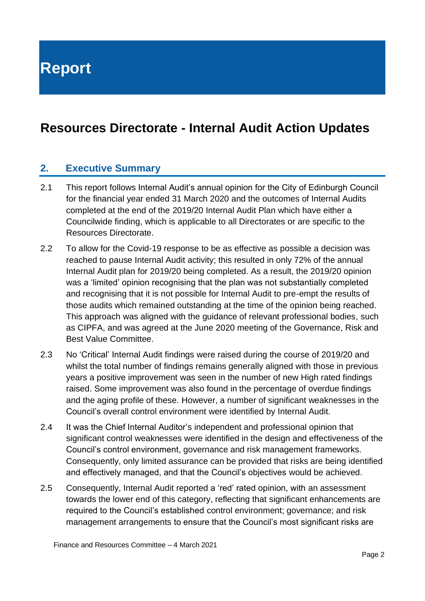**Report**

# **Resources Directorate - Internal Audit Action Updates**

#### **2. Executive Summary**

- 2.1 This report follows Internal Audit's annual opinion for the City of Edinburgh Council for the financial year ended 31 March 2020 and the outcomes of Internal Audits completed at the end of the 2019/20 Internal Audit Plan which have either a Councilwide finding, which is applicable to all Directorates or are specific to the Resources Directorate.
- 2.2 To allow for the Covid-19 response to be as effective as possible a decision was reached to pause Internal Audit activity; this resulted in only 72% of the annual Internal Audit plan for 2019/20 being completed. As a result, the 2019/20 opinion was a 'limited' opinion recognising that the plan was not substantially completed and recognising that it is not possible for Internal Audit to pre-empt the results of those audits which remained outstanding at the time of the opinion being reached. This approach was aligned with the guidance of relevant professional bodies, such as CIPFA, and was agreed at the June 2020 meeting of the Governance, Risk and Best Value Committee.
- 2.3 No 'Critical' Internal Audit findings were raised during the course of 2019/20 and whilst the total number of findings remains generally aligned with those in previous years a positive improvement was seen in the number of new High rated findings raised. Some improvement was also found in the percentage of overdue findings and the aging profile of these. However, a number of significant weaknesses in the Council's overall control environment were identified by Internal Audit.
- 2.4 It was the Chief Internal Auditor's independent and professional opinion that significant control weaknesses were identified in the design and effectiveness of the Council's control environment, governance and risk management frameworks. Consequently, only limited assurance can be provided that risks are being identified and effectively managed, and that the Council's objectives would be achieved.
- 2.5 Consequently, Internal Audit reported a 'red' rated opinion, with an assessment towards the lower end of this category, reflecting that significant enhancements are required to the Council's established control environment; governance; and risk management arrangements to ensure that the Council's most significant risks are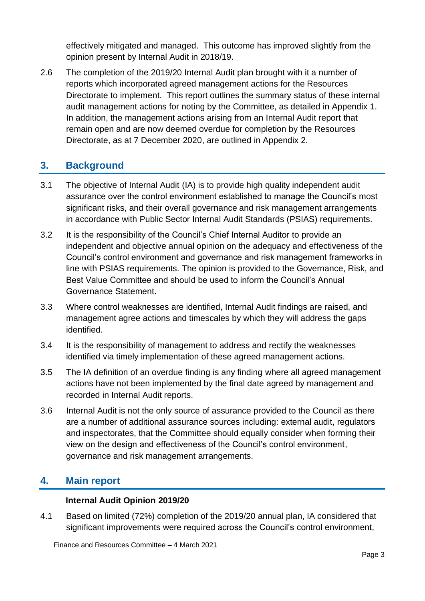effectively mitigated and managed. This outcome has improved slightly from the opinion present by Internal Audit in 2018/19.

2.6 The completion of the 2019/20 Internal Audit plan brought with it a number of reports which incorporated agreed management actions for the Resources Directorate to implement. This report outlines the summary status of these internal audit management actions for noting by the Committee, as detailed in Appendix 1. In addition, the management actions arising from an Internal Audit report that remain open and are now deemed overdue for completion by the Resources Directorate, as at 7 December 2020, are outlined in Appendix 2.

### **3. Background**

- 3.1 The objective of Internal Audit (IA) is to provide high quality independent audit assurance over the control environment established to manage the Council's most significant risks, and their overall governance and risk management arrangements in accordance with Public Sector Internal Audit Standards (PSIAS) requirements.
- 3.2 It is the responsibility of the Council's Chief Internal Auditor to provide an independent and objective annual opinion on the adequacy and effectiveness of the Council's control environment and governance and risk management frameworks in line with PSIAS requirements. The opinion is provided to the Governance, Risk, and Best Value Committee and should be used to inform the Council's Annual Governance Statement.
- 3.3 Where control weaknesses are identified, Internal Audit findings are raised, and management agree actions and timescales by which they will address the gaps identified.
- 3.4 It is the responsibility of management to address and rectify the weaknesses identified via timely implementation of these agreed management actions.
- 3.5 The IA definition of an overdue finding is any finding where all agreed management actions have not been implemented by the final date agreed by management and recorded in Internal Audit reports.
- 3.6 Internal Audit is not the only source of assurance provided to the Council as there are a number of additional assurance sources including: external audit, regulators and inspectorates, that the Committee should equally consider when forming their view on the design and effectiveness of the Council's control environment, governance and risk management arrangements.

### **4. Main report**

#### **Internal Audit Opinion 2019/20**

4.1 Based on limited (72%) completion of the 2019/20 annual plan, IA considered that significant improvements were required across the Council's control environment,

Finance and Resources Committee – 4 March 2021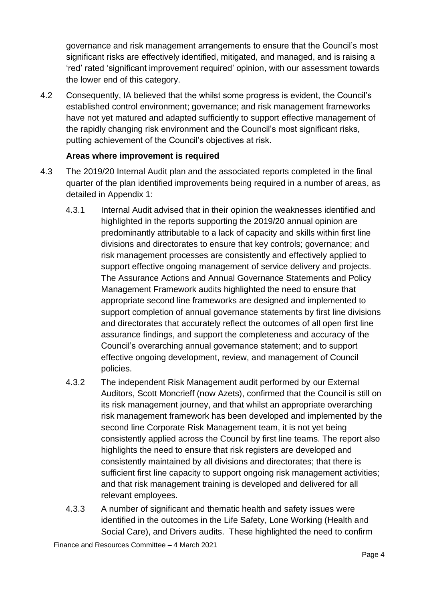governance and risk management arrangements to ensure that the Council's most significant risks are effectively identified, mitigated, and managed, and is raising a 'red' rated 'significant improvement required' opinion, with our assessment towards the lower end of this category.

4.2 Consequently, IA believed that the whilst some progress is evident, the Council's established control environment; governance; and risk management frameworks have not yet matured and adapted sufficiently to support effective management of the rapidly changing risk environment and the Council's most significant risks, putting achievement of the Council's objectives at risk.

#### **Areas where improvement is required**

- 4.3 The 2019/20 Internal Audit plan and the associated reports completed in the final quarter of the plan identified improvements being required in a number of areas, as detailed in Appendix 1:
	- 4.3.1 Internal Audit advised that in their opinion the weaknesses identified and highlighted in the reports supporting the 2019/20 annual opinion are predominantly attributable to a lack of capacity and skills within first line divisions and directorates to ensure that key controls; governance; and risk management processes are consistently and effectively applied to support effective ongoing management of service delivery and projects. The Assurance Actions and Annual Governance Statements and Policy Management Framework audits highlighted the need to ensure that appropriate second line frameworks are designed and implemented to support completion of annual governance statements by first line divisions and directorates that accurately reflect the outcomes of all open first line assurance findings, and support the completeness and accuracy of the Council's overarching annual governance statement; and to support effective ongoing development, review, and management of Council policies.
	- 4.3.2 The independent Risk Management audit performed by our External Auditors, Scott Moncrieff (now Azets), confirmed that the Council is still on its risk management journey, and that whilst an appropriate overarching risk management framework has been developed and implemented by the second line Corporate Risk Management team, it is not yet being consistently applied across the Council by first line teams. The report also highlights the need to ensure that risk registers are developed and consistently maintained by all divisions and directorates; that there is sufficient first line capacity to support ongoing risk management activities; and that risk management training is developed and delivered for all relevant employees.
	- 4.3.3 A number of significant and thematic health and safety issues were identified in the outcomes in the Life Safety, Lone Working (Health and Social Care), and Drivers audits. These highlighted the need to confirm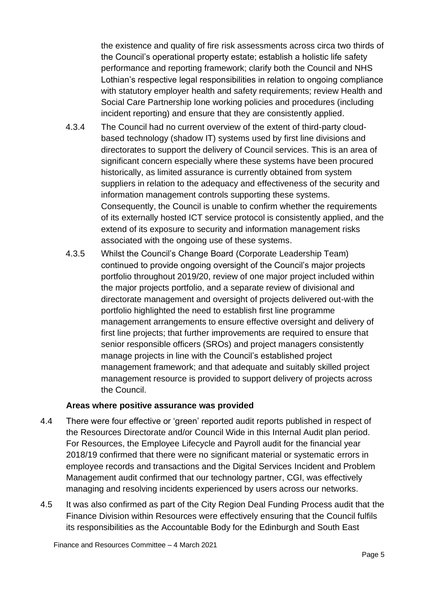the existence and quality of fire risk assessments across circa two thirds of the Council's operational property estate; establish a holistic life safety performance and reporting framework; clarify both the Council and NHS Lothian's respective legal responsibilities in relation to ongoing compliance with statutory employer health and safety requirements; review Health and Social Care Partnership lone working policies and procedures (including incident reporting) and ensure that they are consistently applied.

- 4.3.4 The Council had no current overview of the extent of third-party cloudbased technology (shadow IT) systems used by first line divisions and directorates to support the delivery of Council services. This is an area of significant concern especially where these systems have been procured historically, as limited assurance is currently obtained from system suppliers in relation to the adequacy and effectiveness of the security and information management controls supporting these systems. Consequently, the Council is unable to confirm whether the requirements of its externally hosted ICT service protocol is consistently applied, and the extend of its exposure to security and information management risks associated with the ongoing use of these systems.
- 4.3.5 Whilst the Council's Change Board (Corporate Leadership Team) continued to provide ongoing oversight of the Council's major projects portfolio throughout 2019/20, review of one major project included within the major projects portfolio, and a separate review of divisional and directorate management and oversight of projects delivered out-with the portfolio highlighted the need to establish first line programme management arrangements to ensure effective oversight and delivery of first line projects; that further improvements are required to ensure that senior responsible officers (SROs) and project managers consistently manage projects in line with the Council's established project management framework; and that adequate and suitably skilled project management resource is provided to support delivery of projects across the Council.

#### **Areas where positive assurance was provided**

- 4.4 There were four effective or 'green' reported audit reports published in respect of the Resources Directorate and/or Council Wide in this Internal Audit plan period. For Resources, the Employee Lifecycle and Payroll audit for the financial year 2018/19 confirmed that there were no significant material or systematic errors in employee records and transactions and the Digital Services Incident and Problem Management audit confirmed that our technology partner, CGI, was effectively managing and resolving incidents experienced by users across our networks.
- 4.5 It was also confirmed as part of the City Region Deal Funding Process audit that the Finance Division within Resources were effectively ensuring that the Council fulfils its responsibilities as the Accountable Body for the Edinburgh and South East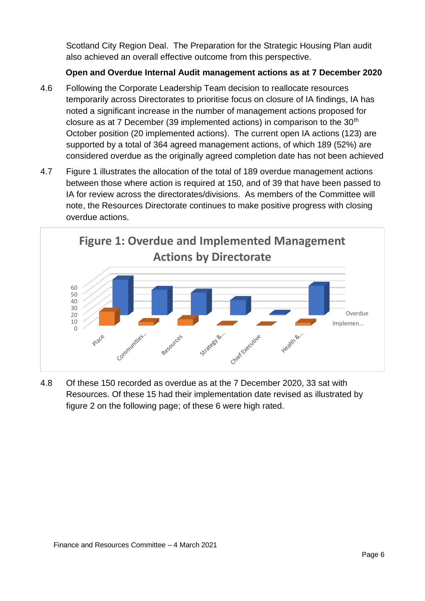Scotland City Region Deal. The Preparation for the Strategic Housing Plan audit also achieved an overall effective outcome from this perspective.

#### **Open and Overdue Internal Audit management actions as at 7 December 2020**

- 4.6 Following the Corporate Leadership Team decision to reallocate resources temporarily across Directorates to prioritise focus on closure of IA findings, IA has noted a significant increase in the number of management actions proposed for closure as at 7 December (39 implemented actions) in comparison to the  $30<sup>th</sup>$ October position (20 implemented actions). The current open IA actions (123) are supported by a total of 364 agreed management actions, of which 189 (52%) are considered overdue as the originally agreed completion date has not been achieved
- 4.7 Figure 1 illustrates the allocation of the total of 189 overdue management actions between those where action is required at 150, and of 39 that have been passed to IA for review across the directorates/divisions. As members of the Committee will note, the Resources Directorate continues to make positive progress with closing overdue actions.



4.8 Of these 150 recorded as overdue as at the 7 December 2020, 33 sat with Resources. Of these 15 had their implementation date revised as illustrated by figure 2 on the following page; of these 6 were high rated.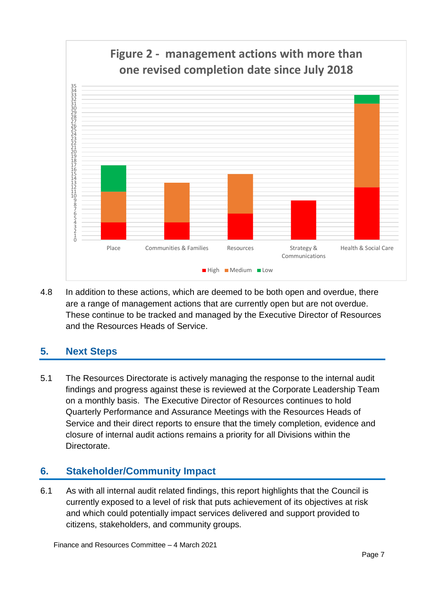

4.8 In addition to these actions, which are deemed to be both open and overdue, there are a range of management actions that are currently open but are not overdue. These continue to be tracked and managed by the Executive Director of Resources and the Resources Heads of Service.

# **5. Next Steps**

5.1 The Resources Directorate is actively managing the response to the internal audit findings and progress against these is reviewed at the Corporate Leadership Team on a monthly basis. The Executive Director of Resources continues to hold Quarterly Performance and Assurance Meetings with the Resources Heads of Service and their direct reports to ensure that the timely completion, evidence and closure of internal audit actions remains a priority for all Divisions within the Directorate.

# **6. Stakeholder/Community Impact**

6.1 As with all internal audit related findings, this report highlights that the Council is currently exposed to a level of risk that puts achievement of its objectives at risk and which could potentially impact services delivered and support provided to citizens, stakeholders, and community groups.

Finance and Resources Committee – 4 March 2021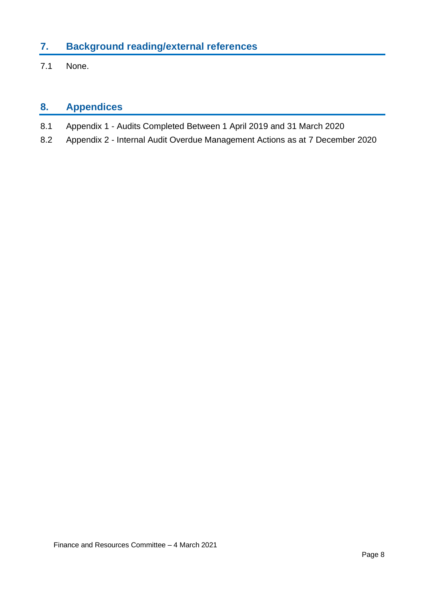# **7. Background reading/external references**

7.1 None.

# **8. Appendices**

- 8.1 Appendix 1 Audits Completed Between 1 April 2019 and 31 March 2020
- 8.2 Appendix 2 Internal Audit Overdue Management Actions as at 7 December 2020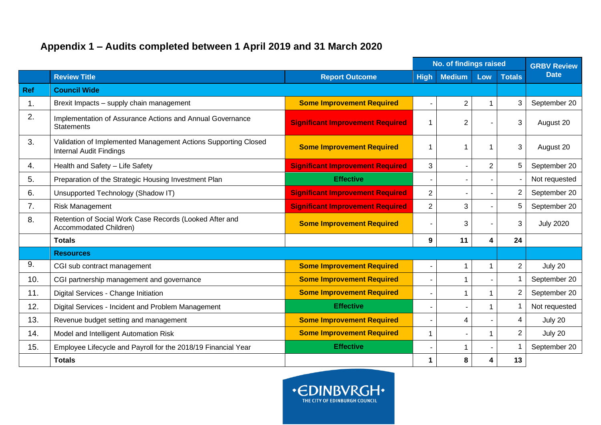# **Appendix 1 – Audits completed between 1 April 2019 and 31 March 2020**

|            |                                                                                                  |                                         | No. of findings raised | <b>GRBV Review</b> |                |                |                  |
|------------|--------------------------------------------------------------------------------------------------|-----------------------------------------|------------------------|--------------------|----------------|----------------|------------------|
|            | <b>Review Title</b>                                                                              | <b>Report Outcome</b>                   | <b>High</b>            | <b>Medium</b>      | Low            | <b>Totals</b>  | <b>Date</b>      |
| <b>Ref</b> | <b>Council Wide</b>                                                                              |                                         |                        |                    |                |                |                  |
| 1.         | Brexit Impacts - supply chain management                                                         | <b>Some Improvement Required</b>        |                        | 2                  | $\mathbf 1$    | 3              | September 20     |
| 2.         | Implementation of Assurance Actions and Annual Governance<br><b>Statements</b>                   | <b>Significant Improvement Required</b> | 1                      | $\overline{2}$     |                | 3              | August 20        |
| 3.         | Validation of Implemented Management Actions Supporting Closed<br><b>Internal Audit Findings</b> | <b>Some Improvement Required</b>        | 1                      |                    | -1             | 3              | August 20        |
| 4.         | Health and Safety - Life Safety                                                                  | <b>Significant Improvement Required</b> | 3                      |                    | $\overline{2}$ | 5              | September 20     |
| 5.         | Preparation of the Strategic Housing Investment Plan                                             | <b>Effective</b>                        |                        |                    |                |                | Not requested    |
| 6.         | Unsupported Technology (Shadow IT)                                                               | <b>Significant Improvement Required</b> | $\overline{c}$         |                    |                | $\overline{2}$ | September 20     |
| 7.         | <b>Risk Management</b>                                                                           | <b>Significant Improvement Required</b> | $\overline{2}$         | 3                  |                | 5              | September 20     |
| 8.         | Retention of Social Work Case Records (Looked After and<br>Accommodated Children)                | <b>Some Improvement Required</b>        |                        | 3                  |                | 3              | <b>July 2020</b> |
|            | <b>Totals</b>                                                                                    |                                         | 9                      | 11                 | 4              | 24             |                  |
|            | <b>Resources</b>                                                                                 |                                         |                        |                    |                |                |                  |
| 9.         | CGI sub contract management                                                                      | <b>Some Improvement Required</b>        | ÷                      | 1                  | $\mathbf 1$    | $\overline{2}$ | July 20          |
| 10.        | CGI partnership management and governance                                                        | <b>Some Improvement Required</b>        |                        | 1                  |                | $\mathbf 1$    | September 20     |
| 11.        | Digital Services - Change Initiation                                                             | <b>Some Improvement Required</b>        |                        |                    | $\mathbf 1$    | $\overline{2}$ | September 20     |
| 12.        | Digital Services - Incident and Problem Management                                               | <b>Effective</b>                        | ۰                      |                    | $\overline{1}$ | $\mathbf 1$    | Not requested    |
| 13.        | Revenue budget setting and management                                                            | <b>Some Improvement Required</b>        |                        | 4                  |                | $\overline{4}$ | July 20          |
| 14.        | Model and Intelligent Automation Risk                                                            | <b>Some Improvement Required</b>        | $\mathbf{1}$           |                    | $\mathbf{1}$   | $\overline{2}$ | July 20          |
| 15.        | Employee Lifecycle and Payroll for the 2018/19 Financial Year                                    | <b>Effective</b>                        |                        |                    |                | $\mathbf 1$    | September 20     |
|            | <b>Totals</b>                                                                                    |                                         | 1                      | 8                  | 4              | 13             |                  |

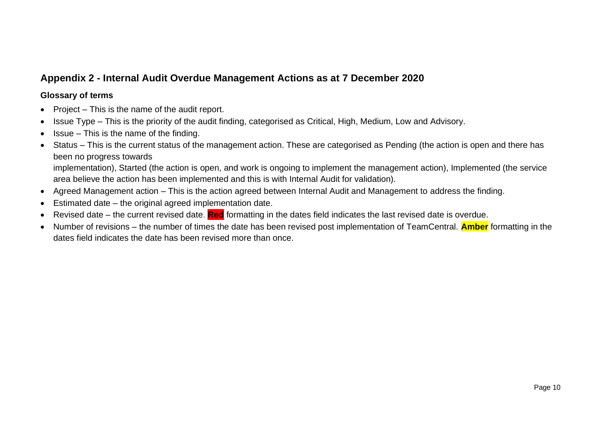# **Appendix 2 - Internal Audit Overdue Management Actions as at 7 December 2020**

#### **Glossary of terms**

- Project This is the name of the audit report.
- Issue Type This is the priority of the audit finding, categorised as Critical, High, Medium, Low and Advisory.
- $l$  Issue This is the name of the finding.
- Status This is the current status of the management action. These are categorised as Pending (the action is open and there has been no progress towards

implementation), Started (the action is open, and work is ongoing to implement the management action), Implemented (the service area believe the action has been implemented and this is with Internal Audit for validation).

- Agreed Management action This is the action agreed between Internal Audit and Management to address the finding.
- Estimated date the original agreed implementation date.
- Revised date the current revised date. **Red** formatting in the dates field indicates the last revised date is overdue.
- Number of revisions the number of times the date has been revised post implementation of TeamCentral. **Amber** formatting in the dates field indicates the date has been revised more than once.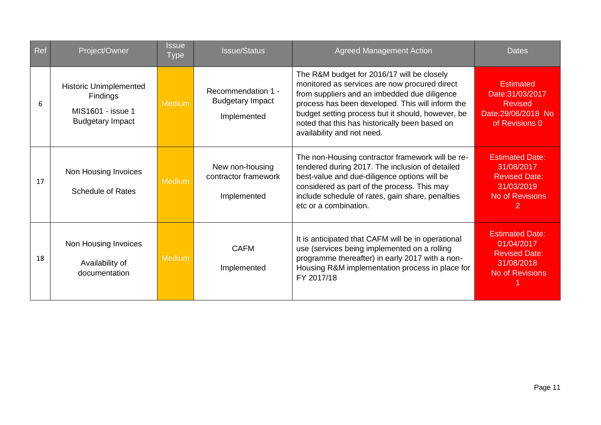| Ref | Project/Owner                                                                                    | <b>Issue</b><br><b>Type</b> | <b>Issue/Status</b>                                          | <b>Agreed Management Action</b>                                                                                                                                                                                                                                                                                                      | <b>Dates</b>                                                                                   |
|-----|--------------------------------------------------------------------------------------------------|-----------------------------|--------------------------------------------------------------|--------------------------------------------------------------------------------------------------------------------------------------------------------------------------------------------------------------------------------------------------------------------------------------------------------------------------------------|------------------------------------------------------------------------------------------------|
| 6   | <b>Historic Unimplemented</b><br><b>Findings</b><br>MIS1601 - issue 1<br><b>Budgetary Impact</b> | <b>Medium</b>               | Recommendation 1 -<br><b>Budgetary Impact</b><br>Implemented | The R&M budget for 2016/17 will be closely<br>monitored as services are now procured direct<br>from suppliers and an imbedded due diligence<br>process has been developed. This will inform the<br>budget setting process but it should, however, be<br>noted that this has historically been based on<br>availability and not need. | <b>Estimated</b><br>Date: 31/03/2017<br><b>Revised</b><br>Date:29/06/2018 No<br>of Revisions 0 |
| 17  | Non Housing Invoices<br><b>Schedule of Rates</b>                                                 | <b>Medium</b>               | New non-housing<br>contractor framework<br>Implemented       | The non-Housing contractor framework will be re-<br>tendered during 2017. The inclusion of detailed<br>best-value and due-diligence options will be<br>considered as part of the process. This may<br>include schedule of rates, gain share, penalties<br>etc or a combination.                                                      | <b>Estimated Date:</b><br>31/08/2017<br><b>Revised Date:</b><br>31/03/2019<br>No of Revisions  |
| 18  | Non Housing Invoices<br>Availability of<br>documentation                                         | <b>Medium</b>               | <b>CAFM</b><br>Implemented                                   | It is anticipated that CAFM will be in operational<br>use (services being implemented on a rolling<br>programme thereafter) in early 2017 with a non-<br>Housing R&M implementation process in place for<br>FY 2017/18                                                                                                               | <b>Estimated Date:</b><br>01/04/2017<br><b>Revised Date:</b><br>31/08/2018<br>No of Revisions  |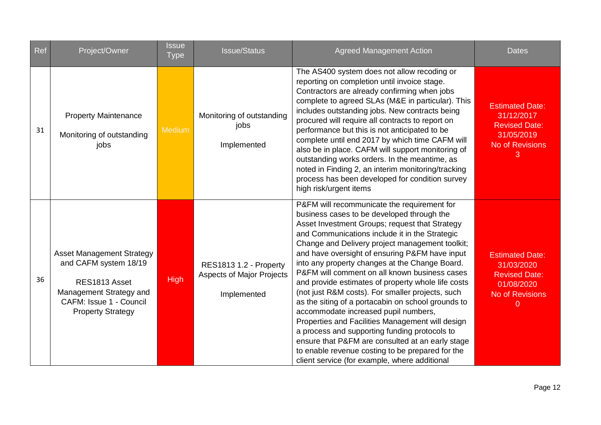| Ref | Project/Owner                                                                                                                                                       | <b>Issue</b><br><b>Type</b> | <b>Issue/Status</b>                                                       | <b>Agreed Management Action</b>                                                                                                                                                                                                                                                                                                                                                                                                                                                                                                                                                                                                                                                                                                                                                                                                                                             | <b>Dates</b>                                                                                                         |
|-----|---------------------------------------------------------------------------------------------------------------------------------------------------------------------|-----------------------------|---------------------------------------------------------------------------|-----------------------------------------------------------------------------------------------------------------------------------------------------------------------------------------------------------------------------------------------------------------------------------------------------------------------------------------------------------------------------------------------------------------------------------------------------------------------------------------------------------------------------------------------------------------------------------------------------------------------------------------------------------------------------------------------------------------------------------------------------------------------------------------------------------------------------------------------------------------------------|----------------------------------------------------------------------------------------------------------------------|
| 31  | <b>Property Maintenance</b><br>Monitoring of outstanding<br>jobs                                                                                                    | <b>Medium</b>               | Monitoring of outstanding<br>jobs<br>Implemented                          | The AS400 system does not allow recoding or<br>reporting on completion until invoice stage.<br>Contractors are already confirming when jobs<br>complete to agreed SLAs (M&E in particular). This<br>includes outstanding jobs. New contracts being<br>procured will require all contracts to report on<br>performance but this is not anticipated to be<br>complete until end 2017 by which time CAFM will<br>also be in place. CAFM will support monitoring of<br>outstanding works orders. In the meantime, as<br>noted in Finding 2, an interim monitoring/tracking<br>process has been developed for condition survey<br>high risk/urgent items                                                                                                                                                                                                                         | <b>Estimated Date:</b><br>31/12/2017<br><b>Revised Date:</b><br>31/05/2019<br>No of Revisions<br>3                   |
| 36  | <b>Asset Management Strategy</b><br>and CAFM system 18/19<br>RES1813 Asset<br>Management Strategy and<br><b>CAFM: Issue 1 - Council</b><br><b>Property Strategy</b> | <b>High</b>                 | RES1813 1.2 - Property<br><b>Aspects of Major Projects</b><br>Implemented | P&FM will recommunicate the requirement for<br>business cases to be developed through the<br>Asset Investment Groups; request that Strategy<br>and Communications include it in the Strategic<br>Change and Delivery project management toolkit;<br>and have oversight of ensuring P&FM have input<br>into any property changes at the Change Board.<br>P&FM will comment on all known business cases<br>and provide estimates of property whole life costs<br>(not just R&M costs). For smaller projects, such<br>as the siting of a portacabin on school grounds to<br>accommodate increased pupil numbers,<br>Properties and Facilities Management will design<br>a process and supporting funding protocols to<br>ensure that P&FM are consulted at an early stage<br>to enable revenue costing to be prepared for the<br>client service (for example, where additional | <b>Estimated Date:</b><br>31/03/2020<br><b>Revised Date:</b><br>01/08/2020<br><b>No of Revisions</b><br>$\mathbf{0}$ |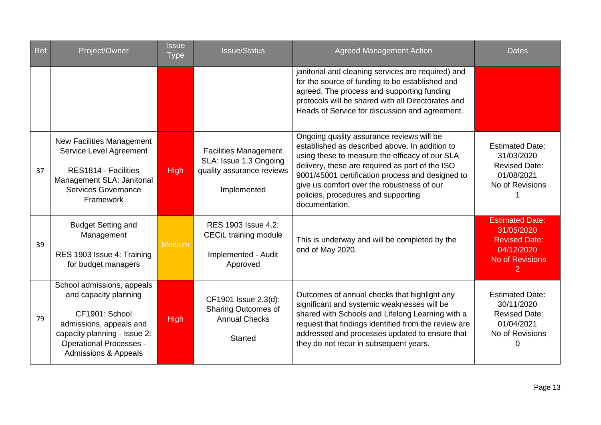| <b>Ref</b> | Project/Owner                                                                                                                                                                                         | Issue<br><b>Type</b> | <b>Issue/Status</b>                                                                                | <b>Agreed Management Action</b>                                                                                                                                                                                                                                                                                                                             | <b>Dates</b>                                                                                                           |
|------------|-------------------------------------------------------------------------------------------------------------------------------------------------------------------------------------------------------|----------------------|----------------------------------------------------------------------------------------------------|-------------------------------------------------------------------------------------------------------------------------------------------------------------------------------------------------------------------------------------------------------------------------------------------------------------------------------------------------------------|------------------------------------------------------------------------------------------------------------------------|
|            |                                                                                                                                                                                                       |                      |                                                                                                    | janitorial and cleaning services are required) and<br>for the source of funding to be established and<br>agreed. The process and supporting funding<br>protocols will be shared with all Directorates and<br>Heads of Service for discussion and agreement.                                                                                                 |                                                                                                                        |
| 37         | <b>New Facilities Management</b><br>Service Level Agreement<br>RES1814 - Facilities<br>Management SLA: Janitorial<br>Services Governance<br>Framework                                                 | <b>High</b>          | <b>Facilities Management</b><br>SLA: Issue 1.3 Ongoing<br>quality assurance reviews<br>Implemented | Ongoing quality assurance reviews will be<br>established as described above. In addition to<br>using these to measure the efficacy of our SLA<br>delivery, these are required as part of the ISO<br>9001/45001 certification process and designed to<br>give us comfort over the robustness of our<br>policies, procedures and supporting<br>documentation. | <b>Estimated Date:</b><br>31/03/2020<br><b>Revised Date:</b><br>01/08/2021<br>No of Revisions                          |
| 39         | <b>Budget Setting and</b><br>Management<br>RES 1903 Issue 4: Training<br>for budget managers                                                                                                          | Medium               | RES 1903 Issue 4.2:<br>CECiL training module<br>Implemented - Audit<br>Approved                    | This is underway and will be completed by the<br>end of May 2020.                                                                                                                                                                                                                                                                                           | <b>Estimated Date:</b><br>31/05/2020<br><b>Revised Date:</b><br>04/12/2020<br><b>No of Revisions</b><br>$\overline{2}$ |
| 79         | School admissions, appeals<br>and capacity planning<br>CF1901: School<br>admissions, appeals and<br>capacity planning - Issue 2:<br><b>Operational Processes -</b><br><b>Admissions &amp; Appeals</b> | <b>High</b>          | CF1901 Issue 2.3(d):<br><b>Sharing Outcomes of</b><br><b>Annual Checks</b><br><b>Started</b>       | Outcomes of annual checks that highlight any<br>significant and systemic weaknesses will be<br>shared with Schools and Lifelong Learning with a<br>request that findings identified from the review are<br>addressed and processes updated to ensure that<br>they do not recur in subsequent years.                                                         | <b>Estimated Date:</b><br>30/11/2020<br><b>Revised Date:</b><br>01/04/2021<br>No of Revisions<br>0                     |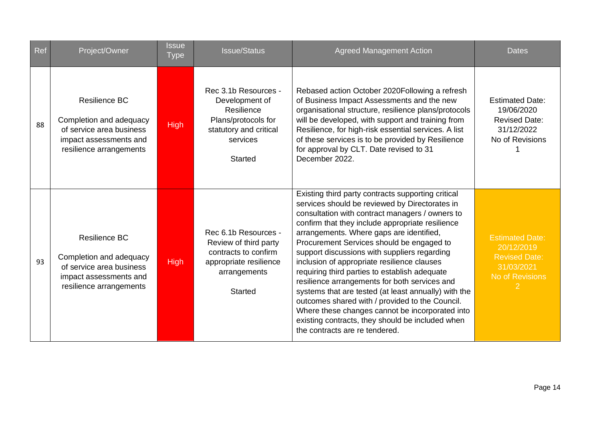| Ref | Project/Owner                                                                                                                    | <b>Issue</b><br><b>Type</b> | <b>Issue/Status</b>                                                                                                                 | <b>Agreed Management Action</b>                                                                                                                                                                                                                                                                                                                                                                                                                                                                                                                                                                                                                                                                                                                           | <b>Dates</b>                                                                                  |
|-----|----------------------------------------------------------------------------------------------------------------------------------|-----------------------------|-------------------------------------------------------------------------------------------------------------------------------------|-----------------------------------------------------------------------------------------------------------------------------------------------------------------------------------------------------------------------------------------------------------------------------------------------------------------------------------------------------------------------------------------------------------------------------------------------------------------------------------------------------------------------------------------------------------------------------------------------------------------------------------------------------------------------------------------------------------------------------------------------------------|-----------------------------------------------------------------------------------------------|
| 88  | <b>Resilience BC</b><br>Completion and adequacy<br>of service area business<br>impact assessments and<br>resilience arrangements | <b>High</b>                 | Rec 3.1b Resources -<br>Development of<br>Resilience<br>Plans/protocols for<br>statutory and critical<br>services<br><b>Started</b> | Rebased action October 2020 Following a refresh<br>of Business Impact Assessments and the new<br>organisational structure, resilience plans/protocols<br>will be developed, with support and training from<br>Resilience, for high-risk essential services. A list<br>of these services is to be provided by Resilience<br>for approval by CLT. Date revised to 31<br>December 2022.                                                                                                                                                                                                                                                                                                                                                                      | <b>Estimated Date:</b><br>19/06/2020<br><b>Revised Date:</b><br>31/12/2022<br>No of Revisions |
| 93  | <b>Resilience BC</b><br>Completion and adequacy<br>of service area business<br>impact assessments and<br>resilience arrangements | <b>High</b>                 | Rec 6.1b Resources -<br>Review of third party<br>contracts to confirm<br>appropriate resilience<br>arrangements<br><b>Started</b>   | Existing third party contracts supporting critical<br>services should be reviewed by Directorates in<br>consultation with contract managers / owners to<br>confirm that they include appropriate resilience<br>arrangements. Where gaps are identified,<br>Procurement Services should be engaged to<br>support discussions with suppliers regarding<br>inclusion of appropriate resilience clauses<br>requiring third parties to establish adequate<br>resilience arrangements for both services and<br>systems that are tested (at least annually) with the<br>outcomes shared with / provided to the Council.<br>Where these changes cannot be incorporated into<br>existing contracts, they should be included when<br>the contracts are re tendered. | <b>Estimated Date:</b><br>20/12/2019<br><b>Revised Date:</b><br>31/03/2021<br>No of Revisions |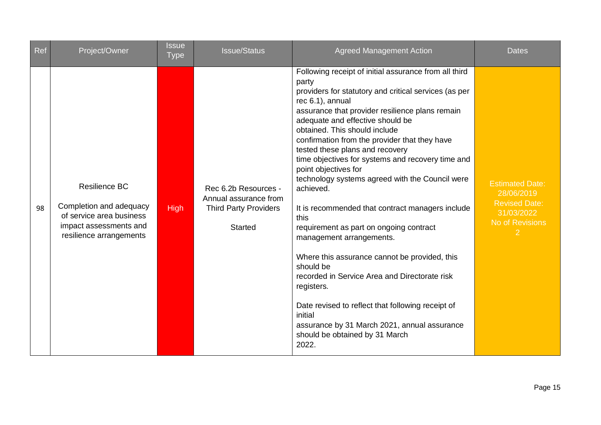| Ref | Project/Owner                                                                                                             | <b>Issue</b><br><b>Type</b> | <b>Issue/Status</b>                                                                             | <b>Agreed Management Action</b>                                                                                                                                                                                                                                                                                                                                                                                                                                                                                                                                                                                                                                                                                                                                                                                                                                                                                                 | <b>Dates</b>                                                                                                    |
|-----|---------------------------------------------------------------------------------------------------------------------------|-----------------------------|-------------------------------------------------------------------------------------------------|---------------------------------------------------------------------------------------------------------------------------------------------------------------------------------------------------------------------------------------------------------------------------------------------------------------------------------------------------------------------------------------------------------------------------------------------------------------------------------------------------------------------------------------------------------------------------------------------------------------------------------------------------------------------------------------------------------------------------------------------------------------------------------------------------------------------------------------------------------------------------------------------------------------------------------|-----------------------------------------------------------------------------------------------------------------|
| 98  | Resilience BC<br>Completion and adequacy<br>of service area business<br>impact assessments and<br>resilience arrangements | <b>High</b>                 | Rec 6.2b Resources -<br>Annual assurance from<br><b>Third Party Providers</b><br><b>Started</b> | Following receipt of initial assurance from all third<br>party<br>providers for statutory and critical services (as per<br>rec 6.1), annual<br>assurance that provider resilience plans remain<br>adequate and effective should be<br>obtained. This should include<br>confirmation from the provider that they have<br>tested these plans and recovery<br>time objectives for systems and recovery time and<br>point objectives for<br>technology systems agreed with the Council were<br>achieved.<br>It is recommended that contract managers include<br>this<br>requirement as part on ongoing contract<br>management arrangements.<br>Where this assurance cannot be provided, this<br>should be<br>recorded in Service Area and Directorate risk<br>registers.<br>Date revised to reflect that following receipt of<br>initial<br>assurance by 31 March 2021, annual assurance<br>should be obtained by 31 March<br>2022. | <b>Estimated Date:</b><br>28/06/2019<br><b>Revised Date:</b><br>31/03/2022<br>No of Revisions<br>$\overline{2}$ |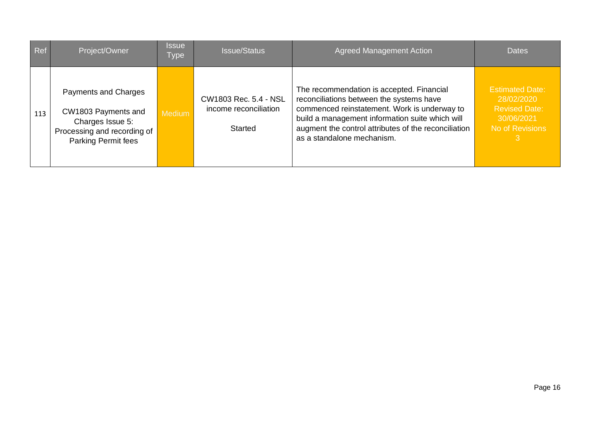| Ref | Project/Owner                                                                                                         | <b>Issue</b><br>Type | <b>Issue/Status</b>                                              | <b>Agreed Management Action</b>                                                                                                                                                                                                                                                | <b>Dates</b>                                                                           |
|-----|-----------------------------------------------------------------------------------------------------------------------|----------------------|------------------------------------------------------------------|--------------------------------------------------------------------------------------------------------------------------------------------------------------------------------------------------------------------------------------------------------------------------------|----------------------------------------------------------------------------------------|
| 113 | Payments and Charges<br>CW1803 Payments and<br>Charges Issue 5:<br>Processing and recording of<br>Parking Permit fees | <b>Medium</b>        | CW1803 Rec. 5.4 - NSL<br>income reconciliation<br><b>Started</b> | The recommendation is accepted. Financial<br>reconciliations between the systems have<br>commenced reinstatement. Work is underway to<br>build a management information suite which will<br>augment the control attributes of the reconciliation<br>as a standalone mechanism. | <b>Estimated Date:</b><br>28/02/2020<br>Revised Date:<br>30/06/2021<br>No of Revisions |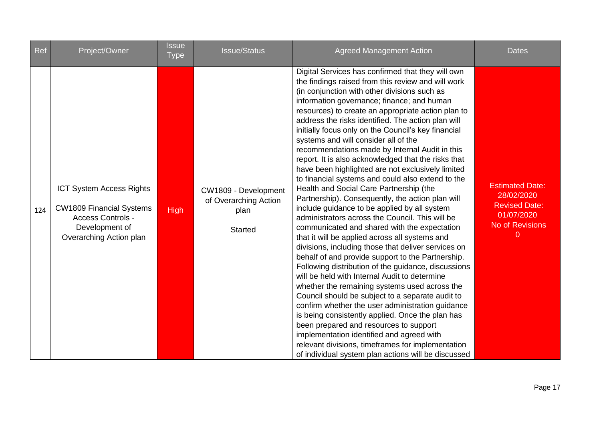| Ref | Project/Owner                                                                                                                               | <b>Issue</b><br><b>Type</b> | <b>Issue/Status</b>                                                     | <b>Agreed Management Action</b>                                                                                                                                                                                                                                                                                                                                                                                                                                                                                                                                                                                                                                                                                                                                                                                                                                                                                                                                                                                                                                                                                                                                                                                                                                                                                                                                                                                                                                                                                                                                             | <b>Dates</b>                                                                                              |
|-----|---------------------------------------------------------------------------------------------------------------------------------------------|-----------------------------|-------------------------------------------------------------------------|-----------------------------------------------------------------------------------------------------------------------------------------------------------------------------------------------------------------------------------------------------------------------------------------------------------------------------------------------------------------------------------------------------------------------------------------------------------------------------------------------------------------------------------------------------------------------------------------------------------------------------------------------------------------------------------------------------------------------------------------------------------------------------------------------------------------------------------------------------------------------------------------------------------------------------------------------------------------------------------------------------------------------------------------------------------------------------------------------------------------------------------------------------------------------------------------------------------------------------------------------------------------------------------------------------------------------------------------------------------------------------------------------------------------------------------------------------------------------------------------------------------------------------------------------------------------------------|-----------------------------------------------------------------------------------------------------------|
| 124 | <b>ICT System Access Rights</b><br><b>CW1809 Financial Systems</b><br><b>Access Controls -</b><br>Development of<br>Overarching Action plan | <b>High</b>                 | CW1809 - Development<br>of Overarching Action<br>plan<br><b>Started</b> | Digital Services has confirmed that they will own<br>the findings raised from this review and will work<br>(in conjunction with other divisions such as<br>information governance; finance; and human<br>resources) to create an appropriate action plan to<br>address the risks identified. The action plan will<br>initially focus only on the Council's key financial<br>systems and will consider all of the<br>recommendations made by Internal Audit in this<br>report. It is also acknowledged that the risks that<br>have been highlighted are not exclusively limited<br>to financial systems and could also extend to the<br>Health and Social Care Partnership (the<br>Partnership). Consequently, the action plan will<br>include guidance to be applied by all system<br>administrators across the Council. This will be<br>communicated and shared with the expectation<br>that it will be applied across all systems and<br>divisions, including those that deliver services on<br>behalf of and provide support to the Partnership.<br>Following distribution of the guidance, discussions<br>will be held with Internal Audit to determine<br>whether the remaining systems used across the<br>Council should be subject to a separate audit to<br>confirm whether the user administration guidance<br>is being consistently applied. Once the plan has<br>been prepared and resources to support<br>implementation identified and agreed with<br>relevant divisions, timeframes for implementation<br>of individual system plan actions will be discussed | <b>Estimated Date:</b><br>28/02/2020<br><b>Revised Date:</b><br>01/07/2020<br><b>No of Revisions</b><br>0 |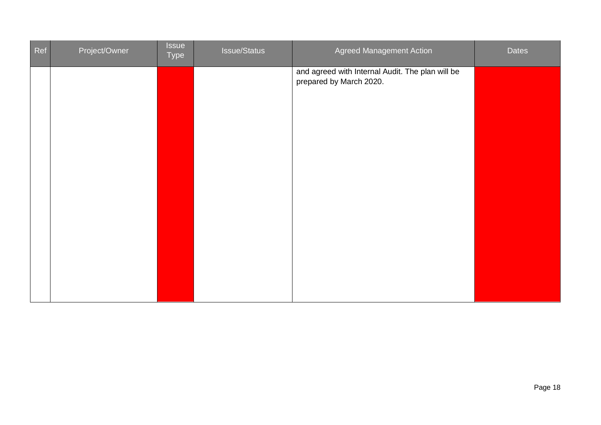| Ref | Project/Owner | <b>Issue</b><br>Type | <b>Issue/Status</b> | Agreed Management Action                                                    | <b>Dates</b> |
|-----|---------------|----------------------|---------------------|-----------------------------------------------------------------------------|--------------|
|     |               |                      |                     | and agreed with Internal Audit. The plan will be<br>prepared by March 2020. |              |
|     |               |                      |                     |                                                                             |              |
|     |               |                      |                     |                                                                             |              |
|     |               |                      |                     |                                                                             |              |
|     |               |                      |                     |                                                                             |              |
|     |               |                      |                     |                                                                             |              |
|     |               |                      |                     |                                                                             |              |
|     |               |                      |                     |                                                                             |              |
|     |               |                      |                     |                                                                             |              |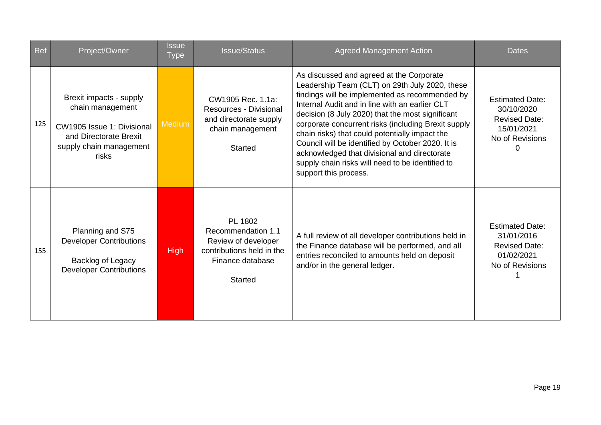| Ref | Project/Owner                                                                                                                           | <b>Issue</b><br><b>Type</b> | <b>Issue/Status</b>                                                                                                     | <b>Agreed Management Action</b>                                                                                                                                                                                                                                                                                                                                                                                                                                                                                                               | <b>Dates</b>                                                                                       |
|-----|-----------------------------------------------------------------------------------------------------------------------------------------|-----------------------------|-------------------------------------------------------------------------------------------------------------------------|-----------------------------------------------------------------------------------------------------------------------------------------------------------------------------------------------------------------------------------------------------------------------------------------------------------------------------------------------------------------------------------------------------------------------------------------------------------------------------------------------------------------------------------------------|----------------------------------------------------------------------------------------------------|
| 125 | Brexit impacts - supply<br>chain management<br>CW1905 Issue 1: Divisional<br>and Directorate Brexit<br>supply chain management<br>risks | <b>Medium</b>               | CW1905 Rec. 1.1a:<br><b>Resources - Divisional</b><br>and directorate supply<br>chain management<br><b>Started</b>      | As discussed and agreed at the Corporate<br>Leadership Team (CLT) on 29th July 2020, these<br>findings will be implemented as recommended by<br>Internal Audit and in line with an earlier CLT<br>decision (8 July 2020) that the most significant<br>corporate concurrent risks (including Brexit supply<br>chain risks) that could potentially impact the<br>Council will be identified by October 2020. It is<br>acknowledged that divisional and directorate<br>supply chain risks will need to be identified to<br>support this process. | <b>Estimated Date:</b><br>30/10/2020<br><b>Revised Date:</b><br>15/01/2021<br>No of Revisions<br>O |
| 155 | Planning and S75<br><b>Developer Contributions</b><br>Backlog of Legacy<br><b>Developer Contributions</b>                               | <b>High</b>                 | PL 1802<br>Recommendation 1.1<br>Review of developer<br>contributions held in the<br>Finance database<br><b>Started</b> | A full review of all developer contributions held in<br>the Finance database will be performed, and all<br>entries reconciled to amounts held on deposit<br>and/or in the general ledger.                                                                                                                                                                                                                                                                                                                                                     | <b>Estimated Date:</b><br>31/01/2016<br><b>Revised Date:</b><br>01/02/2021<br>No of Revisions      |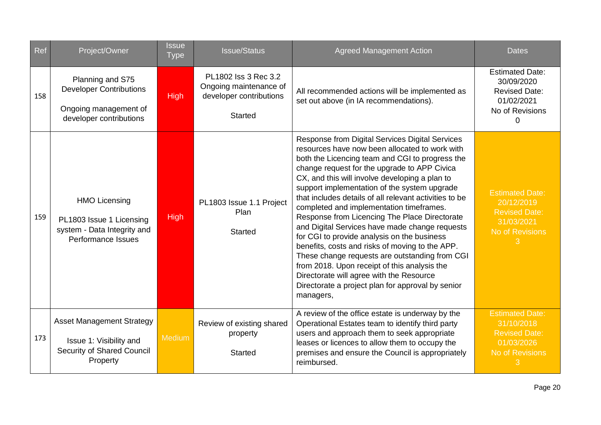| Ref | Project/Owner                                                                                          | <b>Issue</b><br><b>Type</b> | <b>Issue/Status</b>                                                                         | <b>Agreed Management Action</b>                                                                                                                                                                                                                                                                                                                                                                                                                                                                                                                                                                                                                                                                                                                                                                                                   | <b>Dates</b>                                                                                       |
|-----|--------------------------------------------------------------------------------------------------------|-----------------------------|---------------------------------------------------------------------------------------------|-----------------------------------------------------------------------------------------------------------------------------------------------------------------------------------------------------------------------------------------------------------------------------------------------------------------------------------------------------------------------------------------------------------------------------------------------------------------------------------------------------------------------------------------------------------------------------------------------------------------------------------------------------------------------------------------------------------------------------------------------------------------------------------------------------------------------------------|----------------------------------------------------------------------------------------------------|
| 158 | Planning and S75<br><b>Developer Contributions</b><br>Ongoing management of<br>developer contributions | <b>High</b>                 | PL1802 Iss 3 Rec 3.2<br>Ongoing maintenance of<br>developer contributions<br><b>Started</b> | All recommended actions will be implemented as<br>set out above (in IA recommendations).                                                                                                                                                                                                                                                                                                                                                                                                                                                                                                                                                                                                                                                                                                                                          | <b>Estimated Date:</b><br>30/09/2020<br><b>Revised Date:</b><br>01/02/2021<br>No of Revisions<br>0 |
| 159 | <b>HMO Licensing</b><br>PL1803 Issue 1 Licensing<br>system - Data Integrity and<br>Performance Issues  | <b>High</b>                 | PL1803 Issue 1.1 Project<br>Plan<br><b>Started</b>                                          | Response from Digital Services Digital Services<br>resources have now been allocated to work with<br>both the Licencing team and CGI to progress the<br>change request for the upgrade to APP Civica<br>CX, and this will involve developing a plan to<br>support implementation of the system upgrade<br>that includes details of all relevant activities to be<br>completed and implementation timeframes.<br>Response from Licencing The Place Directorate<br>and Digital Services have made change requests<br>for CGI to provide analysis on the business<br>benefits, costs and risks of moving to the APP.<br>These change requests are outstanding from CGI<br>from 2018. Upon receipt of this analysis the<br>Directorate will agree with the Resource<br>Directorate a project plan for approval by senior<br>managers, | <b>Estimated Date:</b><br>20/12/2019<br><b>Revised Date:</b><br>31/03/2021<br>No of Revisions<br>3 |
| 173 | <b>Asset Management Strategy</b><br>Issue 1: Visibility and<br>Security of Shared Council<br>Property  | <b>Medium</b>               | Review of existing shared<br>property<br><b>Started</b>                                     | A review of the office estate is underway by the<br>Operational Estates team to identify third party<br>users and approach them to seek appropriate<br>leases or licences to allow them to occupy the<br>premises and ensure the Council is appropriately<br>reimbursed.                                                                                                                                                                                                                                                                                                                                                                                                                                                                                                                                                          | <b>Estimated Date:</b><br>31/10/2018<br><b>Revised Date:</b><br>01/03/2026<br>No of Revisions      |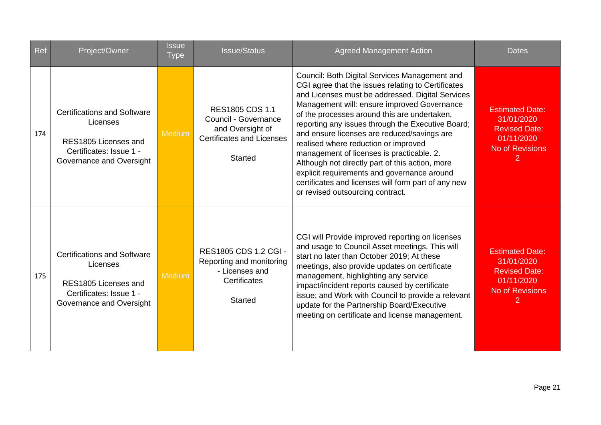| Ref | Project/Owner                                                                                                                 | <b>Issue</b><br><b>Type</b> | <b>Issue/Status</b>                                                                                                 | <b>Agreed Management Action</b>                                                                                                                                                                                                                                                                                                                                                                                                                                                                                                                                                                                                              | <b>Dates</b>                                                                                                           |
|-----|-------------------------------------------------------------------------------------------------------------------------------|-----------------------------|---------------------------------------------------------------------------------------------------------------------|----------------------------------------------------------------------------------------------------------------------------------------------------------------------------------------------------------------------------------------------------------------------------------------------------------------------------------------------------------------------------------------------------------------------------------------------------------------------------------------------------------------------------------------------------------------------------------------------------------------------------------------------|------------------------------------------------------------------------------------------------------------------------|
| 174 | <b>Certifications and Software</b><br>Licenses<br>RES1805 Licenses and<br>Certificates: Issue 1 -<br>Governance and Oversight | <b>Medium</b>               | RES1805 CDS 1.1<br>Council - Governance<br>and Oversight of<br><b>Certificates and Licenses</b><br><b>Started</b>   | Council: Both Digital Services Management and<br>CGI agree that the issues relating to Certificates<br>and Licenses must be addressed. Digital Services<br>Management will: ensure improved Governance<br>of the processes around this are undertaken,<br>reporting any issues through the Executive Board;<br>and ensure licenses are reduced/savings are<br>realised where reduction or improved<br>management of licenses is practicable. 2.<br>Although not directly part of this action, more<br>explicit requirements and governance around<br>certificates and licenses will form part of any new<br>or revised outsourcing contract. | <b>Estimated Date:</b><br>31/01/2020<br><b>Revised Date:</b><br>01/11/2020<br><b>No of Revisions</b><br>$\overline{2}$ |
| 175 | <b>Certifications and Software</b><br>Licenses<br>RES1805 Licenses and<br>Certificates: Issue 1 -<br>Governance and Oversight | <b>Medium</b>               | <b>RES1805 CDS 1.2 CGI -</b><br>Reporting and monitoring<br>- Licenses and<br><b>Certificates</b><br><b>Started</b> | CGI will Provide improved reporting on licenses<br>and usage to Council Asset meetings. This will<br>start no later than October 2019; At these<br>meetings, also provide updates on certificate<br>management, highlighting any service<br>impact/incident reports caused by certificate<br>issue; and Work with Council to provide a relevant<br>update for the Partnership Board/Executive<br>meeting on certificate and license management.                                                                                                                                                                                              | <b>Estimated Date:</b><br>31/01/2020<br><b>Revised Date:</b><br>01/11/2020<br><b>No of Revisions</b>                   |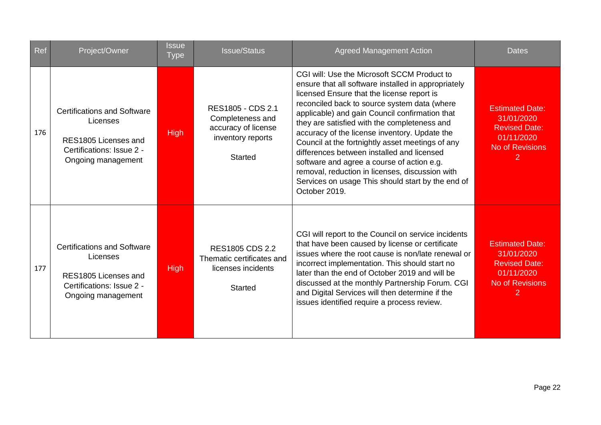| Ref | Project/Owner                                                                                                             | <b>Issue</b><br><b>Type</b> | <b>Issue/Status</b>                                                                                 | <b>Agreed Management Action</b>                                                                                                                                                                                                                                                                                                                                                                                                                                                                                                                                                                                              | <b>Dates</b>                                                                                                           |
|-----|---------------------------------------------------------------------------------------------------------------------------|-----------------------------|-----------------------------------------------------------------------------------------------------|------------------------------------------------------------------------------------------------------------------------------------------------------------------------------------------------------------------------------------------------------------------------------------------------------------------------------------------------------------------------------------------------------------------------------------------------------------------------------------------------------------------------------------------------------------------------------------------------------------------------------|------------------------------------------------------------------------------------------------------------------------|
| 176 | <b>Certifications and Software</b><br>Licenses<br>RES1805 Licenses and<br>Certifications: Issue 2 -<br>Ongoing management | <b>High</b>                 | RES1805 - CDS 2.1<br>Completeness and<br>accuracy of license<br>inventory reports<br><b>Started</b> | CGI will: Use the Microsoft SCCM Product to<br>ensure that all software installed in appropriately<br>licensed Ensure that the license report is<br>reconciled back to source system data (where<br>applicable) and gain Council confirmation that<br>they are satisfied with the completeness and<br>accuracy of the license inventory. Update the<br>Council at the fortnightly asset meetings of any<br>differences between installed and licensed<br>software and agree a course of action e.g.<br>removal, reduction in licenses, discussion with<br>Services on usage This should start by the end of<br>October 2019. | <b>Estimated Date:</b><br>31/01/2020<br><b>Revised Date:</b><br>01/11/2020<br><b>No of Revisions</b><br>$\overline{2}$ |
| 177 | <b>Certifications and Software</b><br>Licenses<br>RES1805 Licenses and<br>Certifications: Issue 2 -<br>Ongoing management | <b>High</b>                 | <b>RES1805 CDS 2.2</b><br>Thematic certificates and<br>licenses incidents<br><b>Started</b>         | CGI will report to the Council on service incidents<br>that have been caused by license or certificate<br>issues where the root cause is non/late renewal or<br>incorrect implementation. This should start no<br>later than the end of October 2019 and will be<br>discussed at the monthly Partnership Forum. CGI<br>and Digital Services will then determine if the<br>issues identified require a process review.                                                                                                                                                                                                        | <b>Estimated Date:</b><br>31/01/2020<br><b>Revised Date:</b><br>01/11/2020<br><b>No of Revisions</b><br>2              |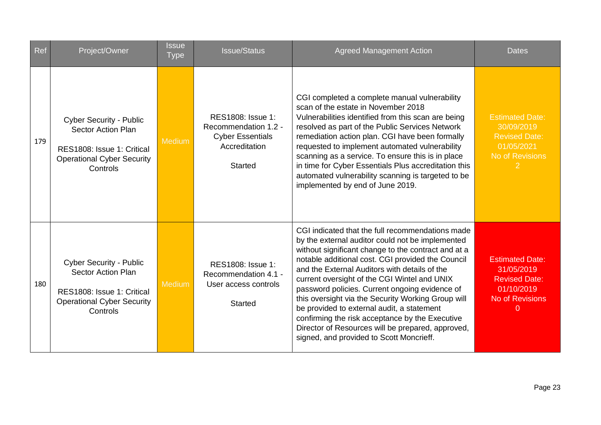| <b>Ref</b> | Project/Owner                                                                                                                              | <b>Issue</b><br><b>Type</b> | <b>Issue/Status</b>                                                                                     | <b>Agreed Management Action</b>                                                                                                                                                                                                                                                                                                                                                                                                                                                                                                                                                                                             | <b>Dates</b>                                                                                                     |
|------------|--------------------------------------------------------------------------------------------------------------------------------------------|-----------------------------|---------------------------------------------------------------------------------------------------------|-----------------------------------------------------------------------------------------------------------------------------------------------------------------------------------------------------------------------------------------------------------------------------------------------------------------------------------------------------------------------------------------------------------------------------------------------------------------------------------------------------------------------------------------------------------------------------------------------------------------------------|------------------------------------------------------------------------------------------------------------------|
| 179        | <b>Cyber Security - Public</b><br><b>Sector Action Plan</b><br>RES1808: Issue 1: Critical<br><b>Operational Cyber Security</b><br>Controls | <b>Medium</b>               | RES1808: Issue 1:<br>Recommendation 1.2 -<br><b>Cyber Essentials</b><br>Accreditation<br><b>Started</b> | CGI completed a complete manual vulnerability<br>scan of the estate in November 2018<br>Vulnerabilities identified from this scan are being<br>resolved as part of the Public Services Network<br>remediation action plan. CGI have been formally<br>requested to implement automated vulnerability<br>scanning as a service. To ensure this is in place<br>in time for Cyber Essentials Plus accreditation this<br>automated vulnerability scanning is targeted to be<br>implemented by end of June 2019.                                                                                                                  | <b>Estimated Date:</b><br>30/09/2019<br><b>Revised Date:</b><br>01/05/2021<br>No of Revisions<br>2               |
| 180        | <b>Cyber Security - Public</b><br><b>Sector Action Plan</b><br>RES1808: Issue 1: Critical<br><b>Operational Cyber Security</b><br>Controls | <b>Medium</b>               | RES1808: Issue 1:<br>Recommendation 4.1 -<br>User access controls<br><b>Started</b>                     | CGI indicated that the full recommendations made<br>by the external auditor could not be implemented<br>without significant change to the contract and at a<br>notable additional cost. CGI provided the Council<br>and the External Auditors with details of the<br>current oversight of the CGI Wintel and UNIX<br>password policies. Current ongoing evidence of<br>this oversight via the Security Working Group will<br>be provided to external audit, a statement<br>confirming the risk acceptance by the Executive<br>Director of Resources will be prepared, approved,<br>signed, and provided to Scott Moncrieff. | <b>Estimated Date:</b><br>31/05/2019<br><b>Revised Date:</b><br>01/10/2019<br><b>No of Revisions</b><br>$\Omega$ |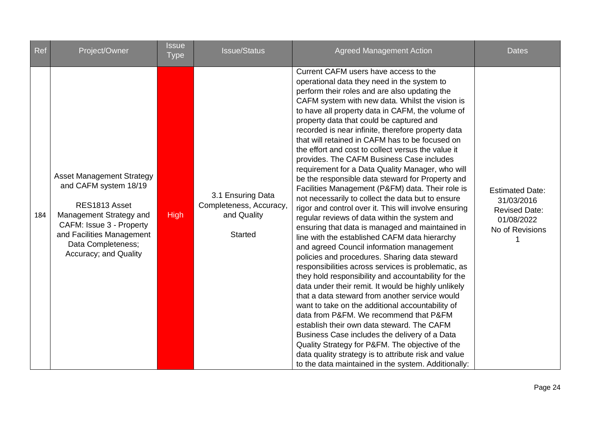| Ref | Project/Owner                                                                                                                                                                                                 | <b>Issue</b><br><b>Type</b> | <b>Issue/Status</b>                                                           | <b>Agreed Management Action</b>                                                                                                                                                                                                                                                                                                                                                                                                                                                                                                                                                                                                                                                                                                                                                                                                                                                                                                                                                                                                                                                                                                                                                                                                                                                                                                                                                                                                                                                                                                                                                                                         | <b>Dates</b>                                                                                  |
|-----|---------------------------------------------------------------------------------------------------------------------------------------------------------------------------------------------------------------|-----------------------------|-------------------------------------------------------------------------------|-------------------------------------------------------------------------------------------------------------------------------------------------------------------------------------------------------------------------------------------------------------------------------------------------------------------------------------------------------------------------------------------------------------------------------------------------------------------------------------------------------------------------------------------------------------------------------------------------------------------------------------------------------------------------------------------------------------------------------------------------------------------------------------------------------------------------------------------------------------------------------------------------------------------------------------------------------------------------------------------------------------------------------------------------------------------------------------------------------------------------------------------------------------------------------------------------------------------------------------------------------------------------------------------------------------------------------------------------------------------------------------------------------------------------------------------------------------------------------------------------------------------------------------------------------------------------------------------------------------------------|-----------------------------------------------------------------------------------------------|
| 184 | <b>Asset Management Strategy</b><br>and CAFM system 18/19<br>RES1813 Asset<br>Management Strategy and<br>CAFM: Issue 3 - Property<br>and Facilities Management<br>Data Completeness;<br>Accuracy; and Quality | <b>High</b>                 | 3.1 Ensuring Data<br>Completeness, Accuracy,<br>and Quality<br><b>Started</b> | Current CAFM users have access to the<br>operational data they need in the system to<br>perform their roles and are also updating the<br>CAFM system with new data. Whilst the vision is<br>to have all property data in CAFM, the volume of<br>property data that could be captured and<br>recorded is near infinite, therefore property data<br>that will retained in CAFM has to be focused on<br>the effort and cost to collect versus the value it<br>provides. The CAFM Business Case includes<br>requirement for a Data Quality Manager, who will<br>be the responsible data steward for Property and<br>Facilities Management (P&FM) data. Their role is<br>not necessarily to collect the data but to ensure<br>rigor and control over it. This will involve ensuring<br>regular reviews of data within the system and<br>ensuring that data is managed and maintained in<br>line with the established CAFM data hierarchy<br>and agreed Council information management<br>policies and procedures. Sharing data steward<br>responsibilities across services is problematic, as<br>they hold responsibility and accountability for the<br>data under their remit. It would be highly unlikely<br>that a data steward from another service would<br>want to take on the additional accountability of<br>data from P&FM. We recommend that P&FM<br>establish their own data steward. The CAFM<br>Business Case includes the delivery of a Data<br>Quality Strategy for P&FM. The objective of the<br>data quality strategy is to attribute risk and value<br>to the data maintained in the system. Additionally: | <b>Estimated Date:</b><br>31/03/2016<br><b>Revised Date:</b><br>01/08/2022<br>No of Revisions |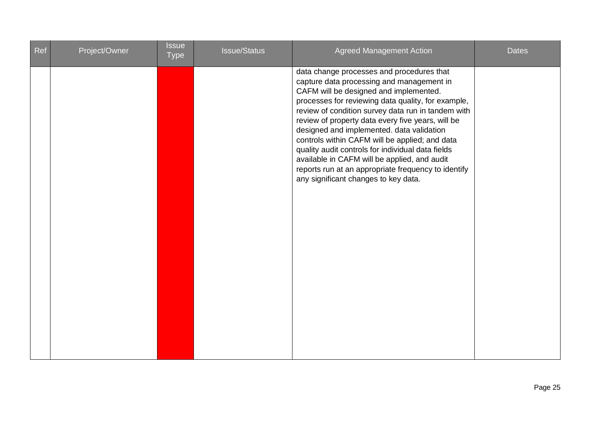| <b>Ref</b> | Project/Owner | <b>Issue</b><br><b>Type</b> | <b>Issue/Status</b> | <b>Agreed Management Action</b>                                                                                                                                                                                                                                                                                                                                                                                                                                                                                                                                                                      | <b>Dates</b> |
|------------|---------------|-----------------------------|---------------------|------------------------------------------------------------------------------------------------------------------------------------------------------------------------------------------------------------------------------------------------------------------------------------------------------------------------------------------------------------------------------------------------------------------------------------------------------------------------------------------------------------------------------------------------------------------------------------------------------|--------------|
|            |               |                             |                     | data change processes and procedures that<br>capture data processing and management in<br>CAFM will be designed and implemented.<br>processes for reviewing data quality, for example,<br>review of condition survey data run in tandem with<br>review of property data every five years, will be<br>designed and implemented. data validation<br>controls within CAFM will be applied; and data<br>quality audit controls for individual data fields<br>available in CAFM will be applied, and audit<br>reports run at an appropriate frequency to identify<br>any significant changes to key data. |              |
|            |               |                             |                     |                                                                                                                                                                                                                                                                                                                                                                                                                                                                                                                                                                                                      |              |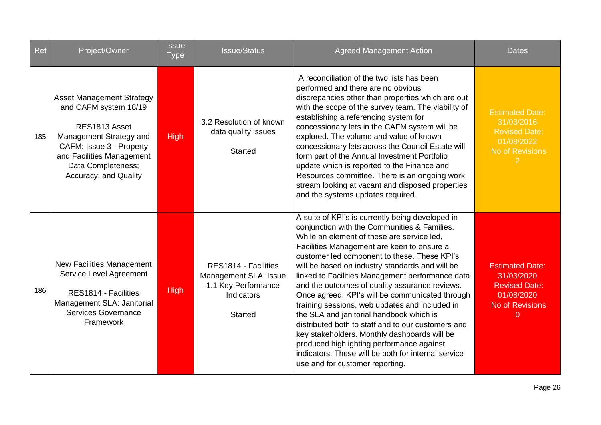| Ref | Project/Owner                                                                                                                                                                                                 | <b>Issue</b><br><b>Type</b> | <b>Issue/Status</b>                                                                                  | <b>Agreed Management Action</b>                                                                                                                                                                                                                                                                                                                                                                                                                                                                                                                                                                                                                                                                                                                                                                     | <b>Dates</b>                                                                                                           |
|-----|---------------------------------------------------------------------------------------------------------------------------------------------------------------------------------------------------------------|-----------------------------|------------------------------------------------------------------------------------------------------|-----------------------------------------------------------------------------------------------------------------------------------------------------------------------------------------------------------------------------------------------------------------------------------------------------------------------------------------------------------------------------------------------------------------------------------------------------------------------------------------------------------------------------------------------------------------------------------------------------------------------------------------------------------------------------------------------------------------------------------------------------------------------------------------------------|------------------------------------------------------------------------------------------------------------------------|
| 185 | <b>Asset Management Strategy</b><br>and CAFM system 18/19<br>RES1813 Asset<br>Management Strategy and<br>CAFM: Issue 3 - Property<br>and Facilities Management<br>Data Completeness;<br>Accuracy; and Quality | <b>High</b>                 | 3.2 Resolution of known<br>data quality issues<br><b>Started</b>                                     | A reconciliation of the two lists has been<br>performed and there are no obvious<br>discrepancies other than properties which are out<br>with the scope of the survey team. The viability of<br>establishing a referencing system for<br>concessionary lets in the CAFM system will be<br>explored. The volume and value of known<br>concessionary lets across the Council Estate will<br>form part of the Annual Investment Portfolio<br>update which is reported to the Finance and<br>Resources committee. There is an ongoing work<br>stream looking at vacant and disposed properties<br>and the systems updates required.                                                                                                                                                                     | <b>Estimated Date:</b><br>31/03/2016<br><b>Revised Date:</b><br>01/08/2022<br>No of Revisions                          |
| 186 | New Facilities Management<br>Service Level Agreement<br>RES1814 - Facilities<br>Management SLA: Janitorial<br><b>Services Governance</b><br>Framework                                                         | <b>High</b>                 | RES1814 - Facilities<br>Management SLA: Issue<br>1.1 Key Performance<br>Indicators<br><b>Started</b> | A suite of KPI's is currently being developed in<br>conjunction with the Communities & Families.<br>While an element of these are service led.<br>Facilities Management are keen to ensure a<br>customer led component to these. These KPI's<br>will be based on industry standards and will be<br>linked to Facilities Management performance data<br>and the outcomes of quality assurance reviews.<br>Once agreed, KPI's will be communicated through<br>training sessions, web updates and included in<br>the SLA and janitorial handbook which is<br>distributed both to staff and to our customers and<br>key stakeholders. Monthly dashboards will be<br>produced highlighting performance against<br>indicators. These will be both for internal service<br>use and for customer reporting. | <b>Estimated Date:</b><br>31/03/2020<br><b>Revised Date:</b><br>01/08/2020<br><b>No of Revisions</b><br>$\overline{0}$ |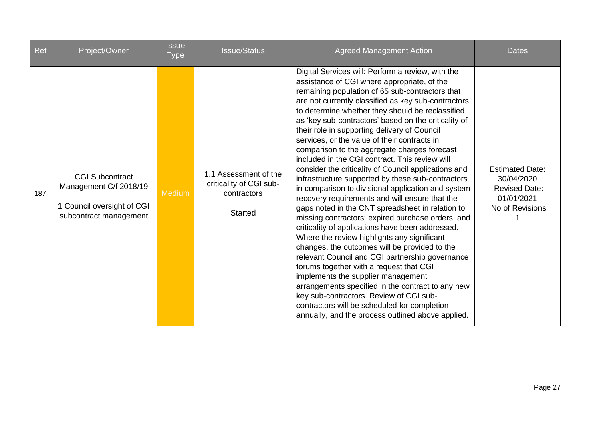| Ref | Project/Owner                                                                                            | <b>Issue</b><br><b>Type</b> | <b>Issue/Status</b>                                                               | <b>Agreed Management Action</b>                                                                                                                                                                                                                                                                                                                                                                                                                                                                                                                                                                                                                                                                                                                                                                                                                                                                                                                                                                                                                                                                                                                                                                                                                                                                                                                     | <b>Dates</b>                                                                                  |
|-----|----------------------------------------------------------------------------------------------------------|-----------------------------|-----------------------------------------------------------------------------------|-----------------------------------------------------------------------------------------------------------------------------------------------------------------------------------------------------------------------------------------------------------------------------------------------------------------------------------------------------------------------------------------------------------------------------------------------------------------------------------------------------------------------------------------------------------------------------------------------------------------------------------------------------------------------------------------------------------------------------------------------------------------------------------------------------------------------------------------------------------------------------------------------------------------------------------------------------------------------------------------------------------------------------------------------------------------------------------------------------------------------------------------------------------------------------------------------------------------------------------------------------------------------------------------------------------------------------------------------------|-----------------------------------------------------------------------------------------------|
| 187 | <b>CGI Subcontract</b><br>Management C/f 2018/19<br>1 Council oversight of CGI<br>subcontract management | Medium                      | 1.1 Assessment of the<br>criticality of CGI sub-<br>contractors<br><b>Started</b> | Digital Services will: Perform a review, with the<br>assistance of CGI where appropriate, of the<br>remaining population of 65 sub-contractors that<br>are not currently classified as key sub-contractors<br>to determine whether they should be reclassified<br>as 'key sub-contractors' based on the criticality of<br>their role in supporting delivery of Council<br>services, or the value of their contracts in<br>comparison to the aggregate charges forecast<br>included in the CGI contract. This review will<br>consider the criticality of Council applications and<br>infrastructure supported by these sub-contractors<br>in comparison to divisional application and system<br>recovery requirements and will ensure that the<br>gaps noted in the CNT spreadsheet in relation to<br>missing contractors; expired purchase orders; and<br>criticality of applications have been addressed.<br>Where the review highlights any significant<br>changes, the outcomes will be provided to the<br>relevant Council and CGI partnership governance<br>forums together with a request that CGI<br>implements the supplier management<br>arrangements specified in the contract to any new<br>key sub-contractors. Review of CGI sub-<br>contractors will be scheduled for completion<br>annually, and the process outlined above applied. | <b>Estimated Date:</b><br>30/04/2020<br><b>Revised Date:</b><br>01/01/2021<br>No of Revisions |